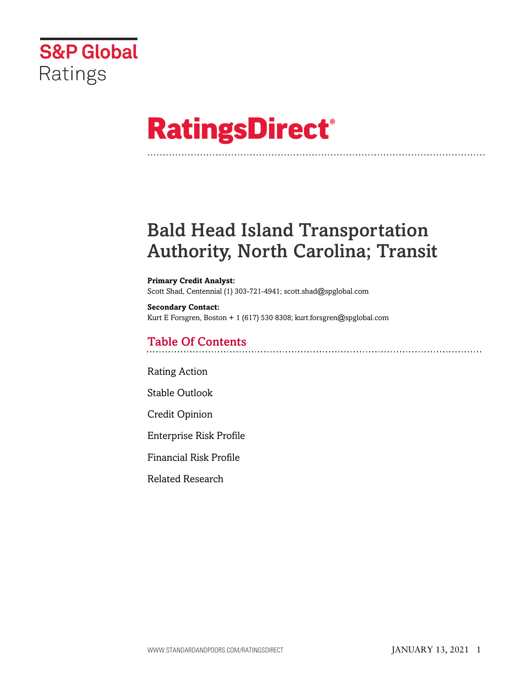

# **RatingsDirect®**

# Bald Head Island Transportation Authority, North Carolina; Transit

#### **Primary Credit Analyst:**

Scott Shad, Centennial (1) 303-721-4941; scott.shad@spglobal.com

**Secondary Contact:** Kurt E Forsgren, Boston + 1 (617) 530 8308; kurt.forsgren@spglobal.com

# Table Of Contents

[Rating Action](#page-1-0)

[Stable Outlook](#page-3-0)

[Credit Opinion](#page-3-1)

[Enterprise Risk Profile](#page-3-2)

[Financial Risk Profile](#page-6-0)

[Related Research](#page-7-0)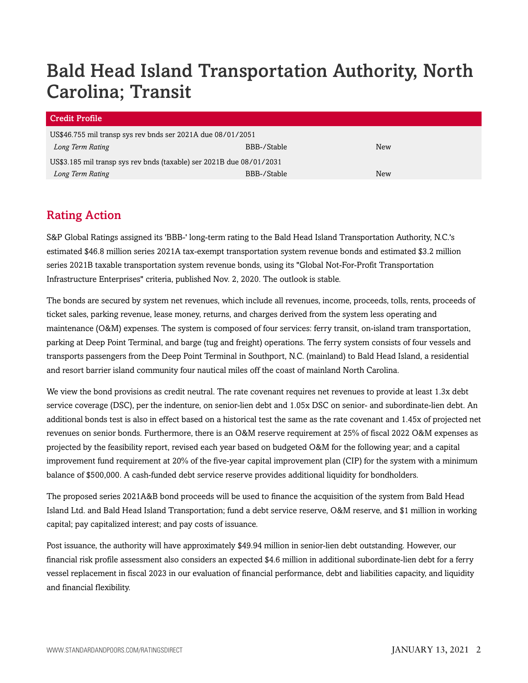# Bald Head Island Transportation Authority, North Carolina; Transit

| <b>Credit Profile</b>                                                |             |     |
|----------------------------------------------------------------------|-------------|-----|
| US\$46.755 mil transp sys rev bnds ser 2021A due 08/01/2051          |             |     |
| Long Term Rating                                                     | BBB-/Stable | New |
| US\$3.185 mil transp sys rev bnds (taxable) ser 2021B due 08/01/2031 |             |     |
| Long Term Rating                                                     | BBB-/Stable | New |

# <span id="page-1-0"></span>Rating Action

S&P Global Ratings assigned its 'BBB-' long-term rating to the Bald Head Island Transportation Authority, N.C.'s estimated \$46.8 million series 2021A tax-exempt transportation system revenue bonds and estimated \$3.2 million series 2021B taxable transportation system revenue bonds, using its "Global Not-For-Profit Transportation Infrastructure Enterprises" criteria, published Nov. 2, 2020. The outlook is stable.

The bonds are secured by system net revenues, which include all revenues, income, proceeds, tolls, rents, proceeds of ticket sales, parking revenue, lease money, returns, and charges derived from the system less operating and maintenance (O&M) expenses. The system is composed of four services: ferry transit, on-island tram transportation, parking at Deep Point Terminal, and barge (tug and freight) operations. The ferry system consists of four vessels and transports passengers from the Deep Point Terminal in Southport, N.C. (mainland) to Bald Head Island, a residential and resort barrier island community four nautical miles off the coast of mainland North Carolina.

We view the bond provisions as credit neutral. The rate covenant requires net revenues to provide at least 1.3x debt service coverage (DSC), per the indenture, on senior-lien debt and 1.05x DSC on senior- and subordinate-lien debt. An additional bonds test is also in effect based on a historical test the same as the rate covenant and 1.45x of projected net revenues on senior bonds. Furthermore, there is an O&M reserve requirement at 25% of fiscal 2022 O&M expenses as projected by the feasibility report, revised each year based on budgeted O&M for the following year; and a capital improvement fund requirement at 20% of the five-year capital improvement plan (CIP) for the system with a minimum balance of \$500,000. A cash-funded debt service reserve provides additional liquidity for bondholders.

The proposed series 2021A&B bond proceeds will be used to finance the acquisition of the system from Bald Head Island Ltd. and Bald Head Island Transportation; fund a debt service reserve, O&M reserve, and \$1 million in working capital; pay capitalized interest; and pay costs of issuance.

Post issuance, the authority will have approximately \$49.94 million in senior-lien debt outstanding. However, our financial risk profile assessment also considers an expected \$4.6 million in additional subordinate-lien debt for a ferry vessel replacement in fiscal 2023 in our evaluation of financial performance, debt and liabilities capacity, and liquidity and financial flexibility.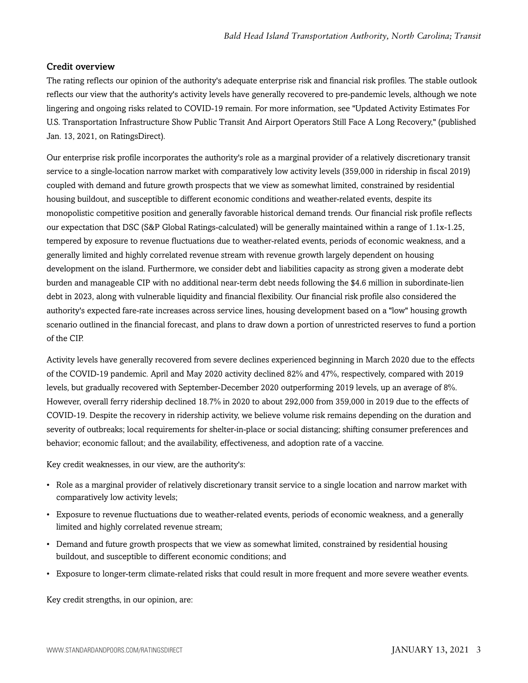# Credit overview

The rating reflects our opinion of the authority's adequate enterprise risk and financial risk profiles. The stable outlook reflects our view that the authority's activity levels have generally recovered to pre-pandemic levels, although we note lingering and ongoing risks related to COVID-19 remain. For more information, see "Updated Activity Estimates For U.S. Transportation Infrastructure Show Public Transit And Airport Operators Still Face A Long Recovery," (published Jan. 13, 2021, on RatingsDirect).

Our enterprise risk profile incorporates the authority's role as a marginal provider of a relatively discretionary transit service to a single-location narrow market with comparatively low activity levels (359,000 in ridership in fiscal 2019) coupled with demand and future growth prospects that we view as somewhat limited, constrained by residential housing buildout, and susceptible to different economic conditions and weather-related events, despite its monopolistic competitive position and generally favorable historical demand trends. Our financial risk profile reflects our expectation that DSC (S&P Global Ratings-calculated) will be generally maintained within a range of 1.1x-1.25, tempered by exposure to revenue fluctuations due to weather-related events, periods of economic weakness, and a generally limited and highly correlated revenue stream with revenue growth largely dependent on housing development on the island. Furthermore, we consider debt and liabilities capacity as strong given a moderate debt burden and manageable CIP with no additional near-term debt needs following the \$4.6 million in subordinate-lien debt in 2023, along with vulnerable liquidity and financial flexibility. Our financial risk profile also considered the authority's expected fare-rate increases across service lines, housing development based on a "low" housing growth scenario outlined in the financial forecast, and plans to draw down a portion of unrestricted reserves to fund a portion of the CIP.

Activity levels have generally recovered from severe declines experienced beginning in March 2020 due to the effects of the COVID-19 pandemic. April and May 2020 activity declined 82% and 47%, respectively, compared with 2019 levels, but gradually recovered with September-December 2020 outperforming 2019 levels, up an average of 8%. However, overall ferry ridership declined 18.7% in 2020 to about 292,000 from 359,000 in 2019 due to the effects of COVID-19. Despite the recovery in ridership activity, we believe volume risk remains depending on the duration and severity of outbreaks; local requirements for shelter-in-place or social distancing; shifting consumer preferences and behavior; economic fallout; and the availability, effectiveness, and adoption rate of a vaccine.

Key credit weaknesses, in our view, are the authority's:

- Role as a marginal provider of relatively discretionary transit service to a single location and narrow market with comparatively low activity levels;
- Exposure to revenue fluctuations due to weather-related events, periods of economic weakness, and a generally limited and highly correlated revenue stream;
- Demand and future growth prospects that we view as somewhat limited, constrained by residential housing buildout, and susceptible to different economic conditions; and
- Exposure to longer-term climate-related risks that could result in more frequent and more severe weather events.

Key credit strengths, in our opinion, are: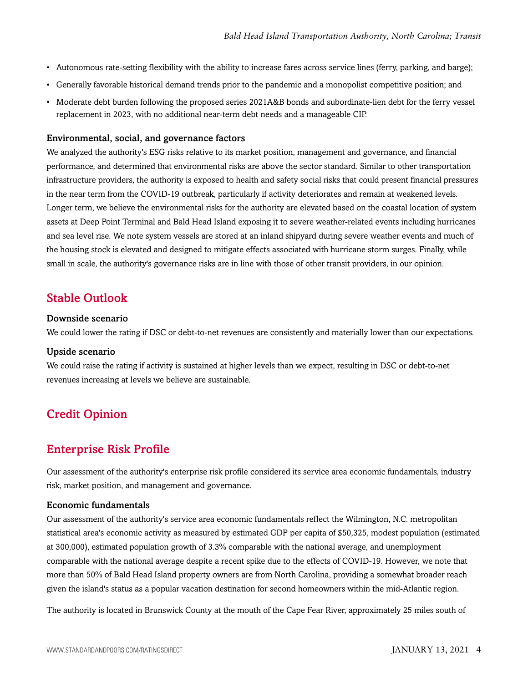- Autonomous rate-setting flexibility with the ability to increase fares across service lines (ferry, parking, and barge);
- Generally favorable historical demand trends prior to the pandemic and a monopolist competitive position; and
- Moderate debt burden following the proposed series 2021A&B bonds and subordinate-lien debt for the ferry vessel replacement in 2023, with no additional near-term debt needs and a manageable CIP.

#### Environmental, social, and governance factors

We analyzed the authority's ESG risks relative to its market position, management and governance, and financial performance, and determined that environmental risks are above the sector standard. Similar to other transportation infrastructure providers, the authority is exposed to health and safety social risks that could present financial pressures in the near term from the COVID-19 outbreak, particularly if activity deteriorates and remain at weakened levels. Longer term, we believe the environmental risks for the authority are elevated based on the coastal location of system assets at Deep Point Terminal and Bald Head Island exposing it to severe weather-related events including hurricanes and sea level rise. We note system vessels are stored at an inland shipyard during severe weather events and much of the housing stock is elevated and designed to mitigate effects associated with hurricane storm surges. Finally, while small in scale, the authority's governance risks are in line with those of other transit providers, in our opinion.

# <span id="page-3-0"></span>Stable Outlook

### Downside scenario

We could lower the rating if DSC or debt-to-net revenues are consistently and materially lower than our expectations.

#### Upside scenario

We could raise the rating if activity is sustained at higher levels than we expect, resulting in DSC or debt-to-net revenues increasing at levels we believe are sustainable.

# <span id="page-3-2"></span><span id="page-3-1"></span>Credit Opinion

# Enterprise Risk Profile

Our assessment of the authority's enterprise risk profile considered its service area economic fundamentals, industry risk, market position, and management and governance.

#### Economic fundamentals

Our assessment of the authority's service area economic fundamentals reflect the Wilmington, N.C. metropolitan statistical area's economic activity as measured by estimated GDP per capita of \$50,325, modest population (estimated at 300,000), estimated population growth of 3.3% comparable with the national average, and unemployment comparable with the national average despite a recent spike due to the effects of COVID-19. However, we note that more than 50% of Bald Head Island property owners are from North Carolina, providing a somewhat broader reach given the island's status as a popular vacation destination for second homeowners within the mid-Atlantic region.

The authority is located in Brunswick County at the mouth of the Cape Fear River, approximately 25 miles south of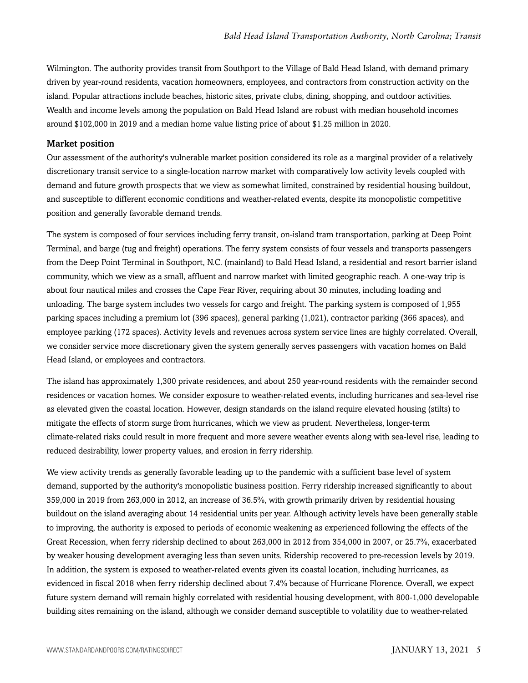Wilmington. The authority provides transit from Southport to the Village of Bald Head Island, with demand primary driven by year-round residents, vacation homeowners, employees, and contractors from construction activity on the island. Popular attractions include beaches, historic sites, private clubs, dining, shopping, and outdoor activities. Wealth and income levels among the population on Bald Head Island are robust with median household incomes around \$102,000 in 2019 and a median home value listing price of about \$1.25 million in 2020.

#### Market position

Our assessment of the authority's vulnerable market position considered its role as a marginal provider of a relatively discretionary transit service to a single-location narrow market with comparatively low activity levels coupled with demand and future growth prospects that we view as somewhat limited, constrained by residential housing buildout, and susceptible to different economic conditions and weather-related events, despite its monopolistic competitive position and generally favorable demand trends.

The system is composed of four services including ferry transit, on-island tram transportation, parking at Deep Point Terminal, and barge (tug and freight) operations. The ferry system consists of four vessels and transports passengers from the Deep Point Terminal in Southport, N.C. (mainland) to Bald Head Island, a residential and resort barrier island community, which we view as a small, affluent and narrow market with limited geographic reach. A one-way trip is about four nautical miles and crosses the Cape Fear River, requiring about 30 minutes, including loading and unloading. The barge system includes two vessels for cargo and freight. The parking system is composed of 1,955 parking spaces including a premium lot (396 spaces), general parking (1,021), contractor parking (366 spaces), and employee parking (172 spaces). Activity levels and revenues across system service lines are highly correlated. Overall, we consider service more discretionary given the system generally serves passengers with vacation homes on Bald Head Island, or employees and contractors.

The island has approximately 1,300 private residences, and about 250 year-round residents with the remainder second residences or vacation homes. We consider exposure to weather-related events, including hurricanes and sea-level rise as elevated given the coastal location. However, design standards on the island require elevated housing (stilts) to mitigate the effects of storm surge from hurricanes, which we view as prudent. Nevertheless, longer-term climate-related risks could result in more frequent and more severe weather events along with sea-level rise, leading to reduced desirability, lower property values, and erosion in ferry ridership.

We view activity trends as generally favorable leading up to the pandemic with a sufficient base level of system demand, supported by the authority's monopolistic business position. Ferry ridership increased significantly to about 359,000 in 2019 from 263,000 in 2012, an increase of 36.5%, with growth primarily driven by residential housing buildout on the island averaging about 14 residential units per year. Although activity levels have been generally stable to improving, the authority is exposed to periods of economic weakening as experienced following the effects of the Great Recession, when ferry ridership declined to about 263,000 in 2012 from 354,000 in 2007, or 25.7%, exacerbated by weaker housing development averaging less than seven units. Ridership recovered to pre-recession levels by 2019. In addition, the system is exposed to weather-related events given its coastal location, including hurricanes, as evidenced in fiscal 2018 when ferry ridership declined about 7.4% because of Hurricane Florence. Overall, we expect future system demand will remain highly correlated with residential housing development, with 800-1,000 developable building sites remaining on the island, although we consider demand susceptible to volatility due to weather-related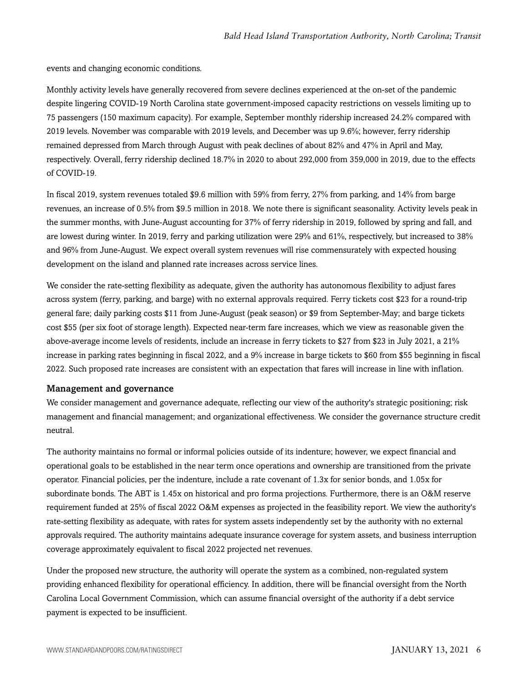events and changing economic conditions.

Monthly activity levels have generally recovered from severe declines experienced at the on-set of the pandemic despite lingering COVID-19 North Carolina state government-imposed capacity restrictions on vessels limiting up to 75 passengers (150 maximum capacity). For example, September monthly ridership increased 24.2% compared with 2019 levels. November was comparable with 2019 levels, and December was up 9.6%; however, ferry ridership remained depressed from March through August with peak declines of about 82% and 47% in April and May, respectively. Overall, ferry ridership declined 18.7% in 2020 to about 292,000 from 359,000 in 2019, due to the effects of COVID-19.

In fiscal 2019, system revenues totaled \$9.6 million with 59% from ferry, 27% from parking, and 14% from barge revenues, an increase of 0.5% from \$9.5 million in 2018. We note there is significant seasonality. Activity levels peak in the summer months, with June-August accounting for 37% of ferry ridership in 2019, followed by spring and fall, and are lowest during winter. In 2019, ferry and parking utilization were 29% and 61%, respectively, but increased to 38% and 96% from June-August. We expect overall system revenues will rise commensurately with expected housing development on the island and planned rate increases across service lines.

We consider the rate-setting flexibility as adequate, given the authority has autonomous flexibility to adjust fares across system (ferry, parking, and barge) with no external approvals required. Ferry tickets cost \$23 for a round-trip general fare; daily parking costs \$11 from June-August (peak season) or \$9 from September-May; and barge tickets cost \$55 (per six foot of storage length). Expected near-term fare increases, which we view as reasonable given the above-average income levels of residents, include an increase in ferry tickets to \$27 from \$23 in July 2021, a 21% increase in parking rates beginning in fiscal 2022, and a 9% increase in barge tickets to \$60 from \$55 beginning in fiscal 2022. Such proposed rate increases are consistent with an expectation that fares will increase in line with inflation.

#### Management and governance

We consider management and governance adequate, reflecting our view of the authority's strategic positioning; risk management and financial management; and organizational effectiveness. We consider the governance structure credit neutral.

The authority maintains no formal or informal policies outside of its indenture; however, we expect financial and operational goals to be established in the near term once operations and ownership are transitioned from the private operator. Financial policies, per the indenture, include a rate covenant of 1.3x for senior bonds, and 1.05x for subordinate bonds. The ABT is 1.45x on historical and pro forma projections. Furthermore, there is an O&M reserve requirement funded at 25% of fiscal 2022 O&M expenses as projected in the feasibility report. We view the authority's rate-setting flexibility as adequate, with rates for system assets independently set by the authority with no external approvals required. The authority maintains adequate insurance coverage for system assets, and business interruption coverage approximately equivalent to fiscal 2022 projected net revenues.

Under the proposed new structure, the authority will operate the system as a combined, non-regulated system providing enhanced flexibility for operational efficiency. In addition, there will be financial oversight from the North Carolina Local Government Commission, which can assume financial oversight of the authority if a debt service payment is expected to be insufficient.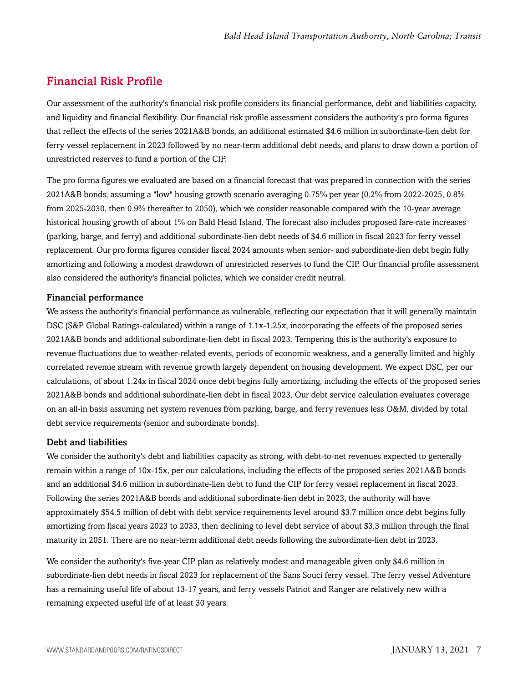# <span id="page-6-0"></span>Financial Risk Profile

Our assessment of the authority's financial risk profile considers its financial performance, debt and liabilities capacity, and liquidity and financial flexibility. Our financial risk profile assessment considers the authority's pro forma figures that reflect the effects of the series 2021A&B bonds, an additional estimated \$4.6 million in subordinate-lien debt for ferry vessel replacement in 2023 followed by no near-term additional debt needs, and plans to draw down a portion of unrestricted reserves to fund a portion of the CIP.

The pro forma figures we evaluated are based on a financial forecast that was prepared in connection with the series 2021A&B bonds, assuming a "low" housing growth scenario averaging 0.75% per year (0.2% from 2022-2025, 0.8% from 2025-2030, then 0.9% thereafter to 2050), which we consider reasonable compared with the 10-year average historical housing growth of about 1% on Bald Head Island. The forecast also includes proposed fare-rate increases (parking, barge, and ferry) and additional subordinate-lien debt needs of \$4.6 million in fiscal 2023 for ferry vessel replacement. Our pro forma figures consider fiscal 2024 amounts when senior- and subordinate-lien debt begin fully amortizing and following a modest drawdown of unrestricted reserves to fund the CIP. Our financial profile assessment also considered the authority's financial policies, which we consider credit neutral.

### Financial performance

We assess the authority's financial performance as vulnerable, reflecting our expectation that it will generally maintain DSC (S&P Global Ratings-calculated) within a range of 1.1x-1.25x, incorporating the effects of the proposed series 2021A&B bonds and additional subordinate-lien debt in fiscal 2023. Tempering this is the authority's exposure to revenue fluctuations due to weather-related events, periods of economic weakness, and a generally limited and highly correlated revenue stream with revenue growth largely dependent on housing development. We expect DSC, per our calculations, of about 1.24x in fiscal 2024 once debt begins fully amortizing, including the effects of the proposed series 2021A&B bonds and additional subordinate-lien debt in fiscal 2023. Our debt service calculation evaluates coverage on an all-in basis assuming net system revenues from parking, barge, and ferry revenues less O&M, divided by total debt service requirements (senior and subordinate bonds).

#### Debt and liabilities

We consider the authority's debt and liabilities capacity as strong, with debt-to-net revenues expected to generally remain within a range of 10x-15x, per our calculations, including the effects of the proposed series 2021A&B bonds and an additional \$4.6 million in subordinate-lien debt to fund the CIP for ferry vessel replacement in fiscal 2023. Following the series 2021A&B bonds and additional subordinate-lien debt in 2023, the authority will have approximately \$54.5 million of debt with debt service requirements level around \$3.7 million once debt begins fully amortizing from fiscal years 2023 to 2033, then declining to level debt service of about \$3.3 million through the final maturity in 2051. There are no near-term additional debt needs following the subordinate-lien debt in 2023.

We consider the authority's five-year CIP plan as relatively modest and manageable given only \$4.6 million in subordinate-lien debt needs in fiscal 2023 for replacement of the Sans Souci ferry vessel. The ferry vessel Adventure has a remaining useful life of about 13-17 years, and ferry vessels Patriot and Ranger are relatively new with a remaining expected useful life of at least 30 years.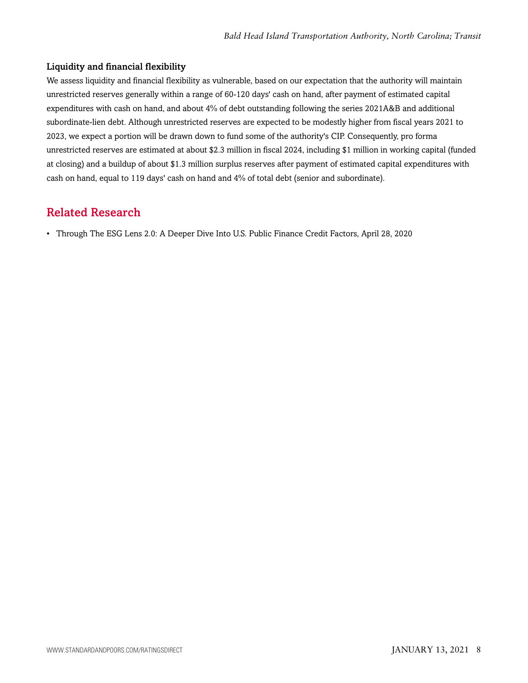# Liquidity and financial flexibility

We assess liquidity and financial flexibility as vulnerable, based on our expectation that the authority will maintain unrestricted reserves generally within a range of 60-120 days' cash on hand, after payment of estimated capital expenditures with cash on hand, and about 4% of debt outstanding following the series 2021A&B and additional subordinate-lien debt. Although unrestricted reserves are expected to be modestly higher from fiscal years 2021 to 2023, we expect a portion will be drawn down to fund some of the authority's CIP. Consequently, pro forma unrestricted reserves are estimated at about \$2.3 million in fiscal 2024, including \$1 million in working capital (funded at closing) and a buildup of about \$1.3 million surplus reserves after payment of estimated capital expenditures with cash on hand, equal to 119 days' cash on hand and 4% of total debt (senior and subordinate).

# <span id="page-7-0"></span>Related Research

• Through The ESG Lens 2.0: A Deeper Dive Into U.S. Public Finance Credit Factors, April 28, 2020